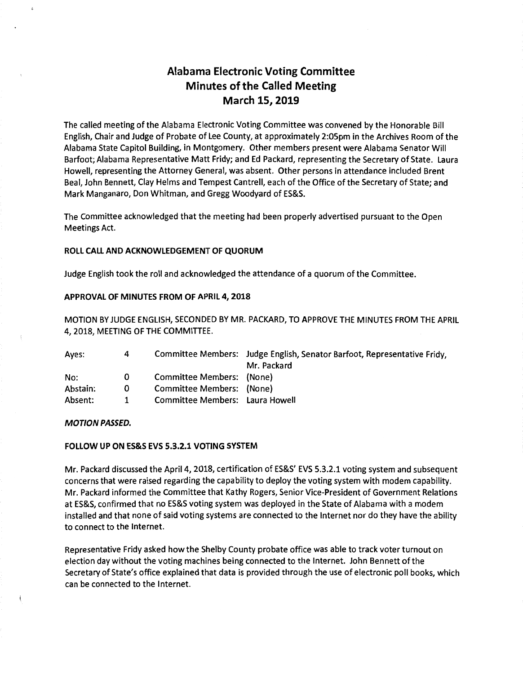# **Alabama Electronic Voting Committee Minutes of the Called Meeting March 15, 2019**

The called meeting of the Alabama Electronic Voting Committee was convened by the Honorable Bill English, Chair and Judge of Probate of Lee County, at approximately 2:05pm in the Archives Room of the Alabama State Capitol Building, in Montgomery. Other members present were Alabama Senator Will Barfoot; Alabama Representative Matt Fridy; and Ed Packard, representing the Secretary of State. Laura Howell, representing the Attorney General, was absent. Other persons in attendance included Brent Beal, John Bennett, Clay Helms and Tempest Cantrell, each of the Office of the Secretary of State; and Mark Manganaro, Don Whitman, and Gregg Woodyard of ES&S.

The Committee acknowledged that the meeting had been properly advertised pursuant to the Open Meetings Act.

#### **ROLL CALL AND ACKNOWLEDGEMENT OF QUORUM**

Judge English took the roll and acknowledged the attendance of a quorum of the Committee.

#### **APPROVAL OF MINUTES FROM OF APRIL 4, 2018**

MOTION BY JUDGE ENGLISH, SECONDED BY MR. PACKARD, TO APPROVE THE MINUTES FROM THE APRIL 4, 2018, MEETING OF THE COMMITTEE.

| Aves:    | 4 |                                 | Committee Members: Judge English, Senator Barfoot, Representative Fridy, |
|----------|---|---------------------------------|--------------------------------------------------------------------------|
|          |   |                                 | Mr. Packard                                                              |
| No:      | O | Committee Members: (None)       |                                                                          |
| Abstain: | 0 | Committee Members: (None)       |                                                                          |
| Absent:  | 1 | Committee Members: Laura Howell |                                                                          |

#### **MOTION PASSED.**

#### **FOLLOW UP ON ES&S EVS 5.3.2.1 VOTING SYSTEM**

Mr. Packard discussed the April 4, 2018, certification of ES&S' EVS 5.3.2.1 voting system and subsequent concerns that were raised regarding the capability to deploy the voting system with modem capability. Mr. Packard informed the Committee that Kathy Rogers, Senior Vice-President of Government Relations at ES&S, confirmed that no ES&S voting system was deployed in the State of Alabama with a modem installed and that none of said voting systems are connected to the Internet nor do they have the ability to connect to the Internet.

Representative Fridy asked how the Shelby County probate office was able to track voter turnout on election day without the voting machines being connected to the Internet. John Bennett of the Secretary of State's office explained that data is provided through the use of electronic poll books, which can be connected to the Internet.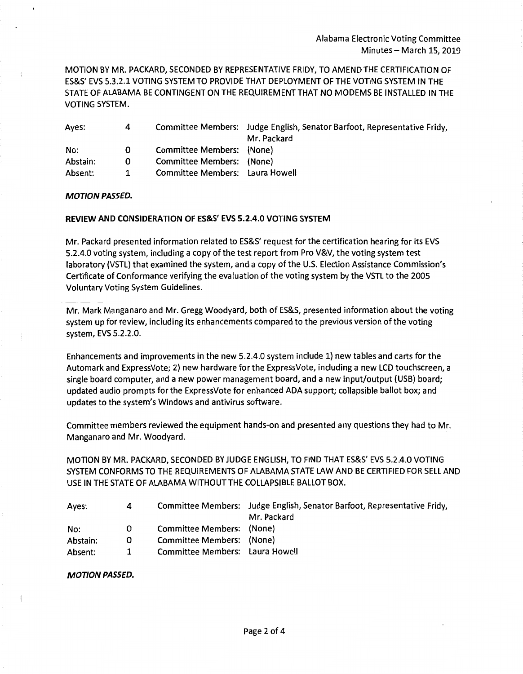MOTION BY MR. PACKARD, SECONDED BY REPRESENTATIVE FRIDY, TO AMEND THE CERTIFICATION OF ES&S' EVS 5.3.2.1 VOTING SYSTEM TO PROVIDE THAT DEPLOYMENT OF THE VOTING SYSTEM IN THE STATE OF ALABAMA BE CONTINGENT ON THE REQUIREMENT THAT NO MODEMS BE INSTALLED IN THE VOTING SYSTEM.

| Ayes:    | 4 |                                 | Committee Members: Judge English, Senator Barfoot, Representative Fridy, |
|----------|---|---------------------------------|--------------------------------------------------------------------------|
|          |   |                                 | Mr. Packard                                                              |
| No:      | 0 | Committee Members: (None)       |                                                                          |
| Abstain: | 0 | Committee Members: (None)       |                                                                          |
| Absent:  |   | Committee Members: Laura Howell |                                                                          |

#### **MOTION PASSED.**

#### **REVIEW AND CONSIDERATION OF ES&S' EVS 5.2.4.0 VOTING SYSTEM**

Mr. Packard presented information related to ES&S' request for the certification hearing for its EVS 5.2.4.0 voting system, including a copy of the test report from Pro V&V, the voting system test laboratory (VSTL) that examined the system, and a copy of the U.S. Election Assistance Commission's Certificate of Conformance verifying the evaluation of the voting system by the VSTL to the 2005 Voluntary Voting System Guidelines.

Mr. Mark Manganaro and Mr. Gregg Woodyard, both of ES&S, presented information about the voting system up for review, including its enhancements compared to the previous version of the voting system, EVS 5.2.2.0.

Enhancements and improvements in the new 5.2.4.0 system include 1} new tables and carts for the Automark and ExpressVote; 2) new hardware for the ExpressVote, including a new LCD touchscreen, a single board computer, and a new power management board, and a new input/output (USB} board; updated audio prompts for the ExpressVote for enhanced ADA support; collapsible ballot box; and updates to the system's Windows and antivirus software.

Committee members reviewed the equipment hands-on and presented any questions they had to Mr. Manganaro and Mr. Woodyard.

MOTION BY MR. PACKARD, SECONDED BY JUDGE ENGLISH, TO FIND THAT ES&S' EVS 5.2.4.0 VOTING SYSTEM CONFORMS TO THE REQUIREMENTS OF ALABAMA STATE LAW AND BE CERTIFIED FOR SELL AND USE IN THE STATE OF ALABAMA WITHOUT THE COLLAPSIBLE BALLOT BOX.

| Ayes:    | 4 |                                 | Committee Members: Judge English, Senator Barfoot, Representative Fridy, |
|----------|---|---------------------------------|--------------------------------------------------------------------------|
|          |   |                                 | Mr. Packard                                                              |
| No:      | 0 | Committee Members: (None)       |                                                                          |
| Abstain: | 0 | Committee Members: (None)       |                                                                          |
| Absent:  | 1 | Committee Members: Laura Howell |                                                                          |

**MOTION PASSED.**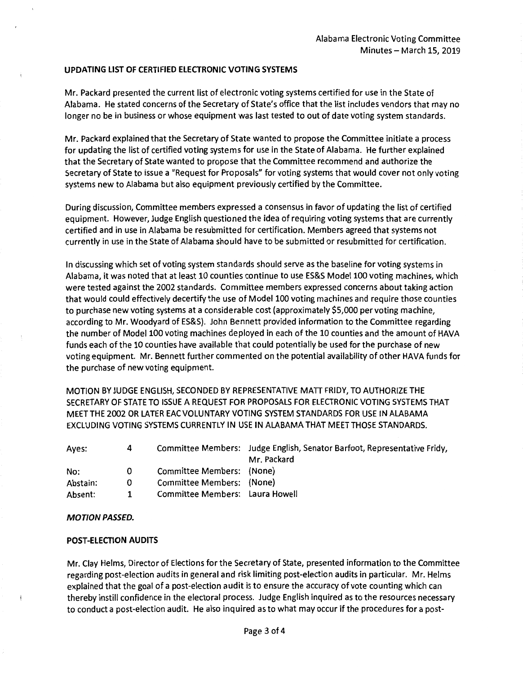### **UPDATING LIST OF CERTIFIED ELECTRONIC VOTING SYSTEMS**

Mr. Packard presented the current list of electronic voting systems certified for use in the State of Alabama. He stated concerns of the Secretary of State's office that the list includes vendors that may no longer no be in business or whose equipment was last tested to out of date voting system standards.

Mr. Packard explained that the Secretary of State wanted to propose the Committee initiate a process for updating the list of certified voting systems for use in the State of Alabama. He further explained that the Secretary of State wanted to propose that the Committee recommend and authorize the Secretary of State to issue a "Request for Proposals" for voting systems that would cover not only voting systems new to Alabama but also equipment previously certified by the Committee.

During discussion, Committee members expressed a consensus in favor of updating the list of certified equipment. However, Judge English questioned the idea of requiring voting systems that are currently certified and in use in Alabama be resubmitted for certification. Members agreed that systems not currently in use in the State of Alabama should have to be submitted or resubmitted for certification.

In discussing which set of voting system standards should serve as the baseline for voting systems in Alabama, it was noted that at least 10 counties continue to use ES&S Model 100 voting machines, which were tested against the 2002 standards. Committee members expressed concerns about taking action that would could effectively decertify the use of Model 100 voting machines and require those counties to purchase new voting systems at a considerable cost (approximately \$5,000 per voting machine, according to Mr. Woodyard of ES&S). John Bennett provided information to the Committee regarding the number of Model 100 voting machines deployed in each of the 10 counties and the amount of HAVA funds each of the 10 counties have available that could potentially be used for the purchase of new voting equipment. Mr. Bennett further commented on the potential availability of other HAVA funds for the purchase of new voting equipment.

MOTION BY JUDGE ENGLISH, SECONDED BY REPRESENTATIVE MATT FRIDY, TO AUTHORIZE THE SECRETARY OF STATE TO ISSUE A REQUEST FOR PROPOSALS FOR ELECTRONIC VOTING SYSTEMS THAT MEET THE 2002 OR LATER EAC VOLUNTARY VOTING SYSTEM STANDARDS FOR USE IN ALABAMA EXCLUDING VOTING SYSTEMS CURRENTLY IN USE IN ALABAMA THAT MEET THOSE STANDARDS.

| Aves:    | 4 |                                 | Committee Members: Judge English, Senator Barfoot, Representative Fridy, |
|----------|---|---------------------------------|--------------------------------------------------------------------------|
|          |   |                                 | Mr. Packard                                                              |
| No:      | 0 | Committee Members: (None)       |                                                                          |
| Abstain: | 0 | Committee Members: (None)       |                                                                          |
| Absent:  | 1 | Committee Members: Laura Howell |                                                                          |

#### **MOTION PASSED.**

# **POST-ELECTION AUDITS**

Mr. Clay Helms, Director of Elections for the Secretary of State, presented information to the Committee regarding post-election audits in general and risk limiting post-election audits in particular. Mr. Helms explained that the goal of a post-election audit is to ensure the accuracy of vote counting which can thereby instill confidence in the electoral process. Judge English inquired as to the resources necessary to conduct a post-election audit. He also inquired as to what may occur if the procedures for a post-